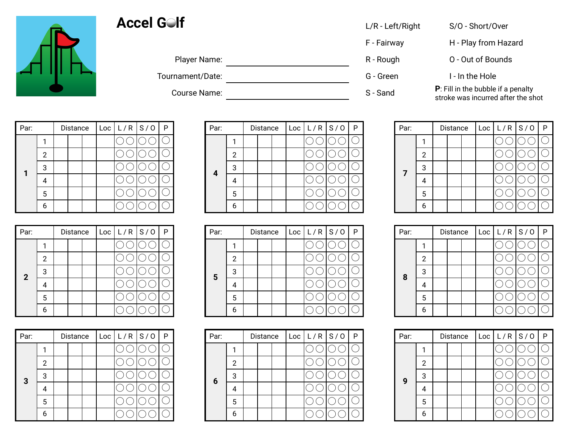

## Accel G<sup>o</sup>lf **COLLACCE G** L/R - Left/Right S/O - Short/Over

| Player Na |  |
|-----------|--|
|           |  |

Tournament/Date: Tournament/Date: C - Green G - Green I - In the Hole

| L/R - Left/Right |  |
|------------------|--|
|------------------|--|

- 
- 

F - Fairway **H** - Play from Hazard

- Player Name: R Rough C Out of Bounds
	-

Course Name: S - Sand **P**: Fill in the bubble if a penalty<br>S - Sand **P**: Fill in the bubble if a penalty stroke was incurred after the shot

| Par: |   | Distance |  | Loc   L/R   S/O | -P |
|------|---|----------|--|-----------------|----|
|      |   |          |  |                 |    |
|      | 2 |          |  |                 |    |
| 1    | 3 |          |  |                 |    |
|      |   |          |  |                 |    |
|      | 5 |          |  |                 |    |
|      | 6 |          |  |                 |    |

| Par:         |   | Distance |  | Loc   L/R   S/O | P |
|--------------|---|----------|--|-----------------|---|
|              |   |          |  |                 |   |
|              | 2 |          |  |                 |   |
| $\mathbf{2}$ | 3 |          |  |                 |   |
|              |   |          |  |                 |   |
|              | 5 |          |  |                 |   |
|              |   |          |  |                 |   |

| Par: |   | Distance |  | $\lfloor$ Loc $\lfloor$ L/R $\lfloor$ S/O | $\mathsf{P}$ |
|------|---|----------|--|-------------------------------------------|--------------|
|      |   |          |  |                                           |              |
|      | 2 |          |  |                                           |              |
| 3    | 3 |          |  |                                           |              |
|      |   |          |  |                                           |              |
|      | 5 |          |  |                                           |              |
|      | ĥ |          |  |                                           |              |

| Par: |  | Distance |  | Loc L/R S/O  P |  | Par: |   | Distance | Loc <sub>1</sub> | L/R S/O | P | Par:         |  | Distance |  | Loc L/R S/O  P |  |
|------|--|----------|--|----------------|--|------|---|----------|------------------|---------|---|--------------|--|----------|--|----------------|--|
|      |  |          |  |                |  |      |   |          |                  |         |   |              |  |          |  |                |  |
|      |  |          |  |                |  |      | 2 |          |                  |         |   |              |  |          |  |                |  |
|      |  |          |  |                |  |      | ີ |          |                  |         |   | $\mathbf{z}$ |  |          |  |                |  |
|      |  |          |  |                |  | 4    | 4 |          |                  |         |   |              |  |          |  |                |  |
|      |  |          |  |                |  |      | 5 |          |                  |         |   |              |  |          |  |                |  |
|      |  |          |  |                |  |      | 6 |          |                  |         |   |              |  |          |  |                |  |

| Par:           |  | Distance |  | $\lfloor$ Loc $\lfloor$ L/R $\lfloor$ S/O $\rfloor$ P |  | Par: |   | Distance | Loc | L/R S/0 | P | Par: |  | Distance | Loc L/R S/O  P |  |
|----------------|--|----------|--|-------------------------------------------------------|--|------|---|----------|-----|---------|---|------|--|----------|----------------|--|
|                |  |          |  |                                                       |  |      |   |          |     |         |   |      |  |          |                |  |
|                |  |          |  |                                                       |  |      | າ |          |     |         |   |      |  |          |                |  |
| $\overline{2}$ |  |          |  |                                                       |  | 5    | 3 |          |     |         |   | 8    |  |          |                |  |
|                |  |          |  |                                                       |  |      | 4 |          |     |         |   |      |  |          |                |  |
|                |  |          |  |                                                       |  |      | ა |          |     |         |   |      |  |          |                |  |
|                |  |          |  |                                                       |  |      | b |          |     |         |   |      |  |          |                |  |

| Par:         |  | Distance |  | Loc L/R S/O  P |  | Par: |        | Distance | Loc <sub>1</sub> | L/R S/O | P | Par: |   | Distance | Loc L/R S/O  P |  |
|--------------|--|----------|--|----------------|--|------|--------|----------|------------------|---------|---|------|---|----------|----------------|--|
|              |  |          |  |                |  |      |        |          |                  |         |   |      |   |          |                |  |
|              |  |          |  |                |  |      | ာ<br>∸ |          |                  |         |   |      |   |          |                |  |
| $\mathbf{3}$ |  |          |  |                |  |      | 3      |          |                  |         |   | 9    |   |          |                |  |
|              |  |          |  |                |  | 6    | 4      |          |                  |         |   |      | 4 |          |                |  |
|              |  |          |  |                |  |      | 5      |          |                  |         |   |      |   |          |                |  |
|              |  |          |  |                |  |      | 6      |          |                  |         |   |      |   |          |                |  |

| Par: |   | Distance |  | $\lfloor$ Loc $\lfloor$ L/R $\lfloor$ S/O | P |
|------|---|----------|--|-------------------------------------------|---|
|      |   |          |  |                                           |   |
|      | 2 |          |  |                                           |   |
| 7    | 3 |          |  |                                           |   |
|      |   |          |  |                                           |   |
|      | 5 |          |  |                                           |   |
|      | 6 |          |  |                                           |   |

| Par: |   | Distance |  | Loc   L/R   S/O | -P |
|------|---|----------|--|-----------------|----|
|      |   |          |  |                 |    |
|      | 2 |          |  |                 |    |
| 8    | З |          |  |                 |    |
|      |   |          |  |                 |    |
|      | 5 |          |  |                 |    |
|      |   |          |  |                 |    |

| Par: |   | Distance |  | Loc   L/R   S/O | P |
|------|---|----------|--|-----------------|---|
|      |   |          |  |                 |   |
|      | 2 |          |  |                 |   |
| 9    | 3 |          |  |                 |   |
|      |   |          |  |                 |   |
|      | 5 |          |  |                 |   |
|      |   |          |  |                 |   |